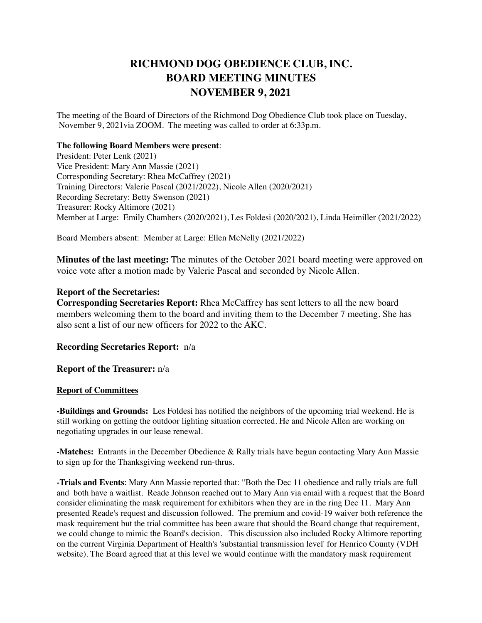## **RICHMOND DOG OBEDIENCE CLUB, INC. BOARD MEETING MINUTES NOVEMBER 9, 2021**

The meeting of the Board of Directors of the Richmond Dog Obedience Club took place on Tuesday, November 9, 2021via ZOOM. The meeting was called to order at 6:33p.m.

## **The following Board Members were present**:

President: Peter Lenk (2021) Vice President: Mary Ann Massie (2021) Corresponding Secretary: Rhea McCaffrey (2021) Training Directors: Valerie Pascal (2021/2022), Nicole Allen (2020/2021) Recording Secretary: Betty Swenson (2021) Treasurer: Rocky Altimore (2021) Member at Large: Emily Chambers (2020/2021), Les Foldesi (2020/2021), Linda Heimiller (2021/2022)

Board Members absent: Member at Large: Ellen McNelly (2021/2022)

**Minutes of the last meeting:** The minutes of the October 2021 board meeting were approved on voice vote after a motion made by Valerie Pascal and seconded by Nicole Allen.

## **Report of the Secretaries:**

**Corresponding Secretaries Report:** Rhea McCaffrey has sent letters to all the new board members welcoming them to the board and inviting them to the December 7 meeting. She has also sent a list of our new officers for 2022 to the AKC.

**Recording Secretaries Report:** n/a

**Report of the Treasurer:** n/a

## **Report of Committees**

**-Buildings and Grounds:** Les Foldesi has notified the neighbors of the upcoming trial weekend. He is still working on getting the outdoor lighting situation corrected. He and Nicole Allen are working on negotiating upgrades in our lease renewal.

**-Matches:** Entrants in the December Obedience & Rally trials have begun contacting Mary Ann Massie to sign up for the Thanksgiving weekend run-thrus.

**-Trials and Events**: Mary Ann Massie reported that: "Both the Dec 11 obedience and rally trials are full and both have a waitlist. Reade Johnson reached out to Mary Ann via email with a request that the Board consider eliminating the mask requirement for exhibitors when they are in the ring Dec 11. Mary Ann presented Reade's request and discussion followed. The premium and covid-19 waiver both reference the mask requirement but the trial committee has been aware that should the Board change that requirement, we could change to mimic the Board's decision. This discussion also included Rocky Altimore reporting on the current Virginia Department of Health's 'substantial transmission level' for Henrico County (VDH website). The Board agreed that at this level we would continue with the mandatory mask requirement